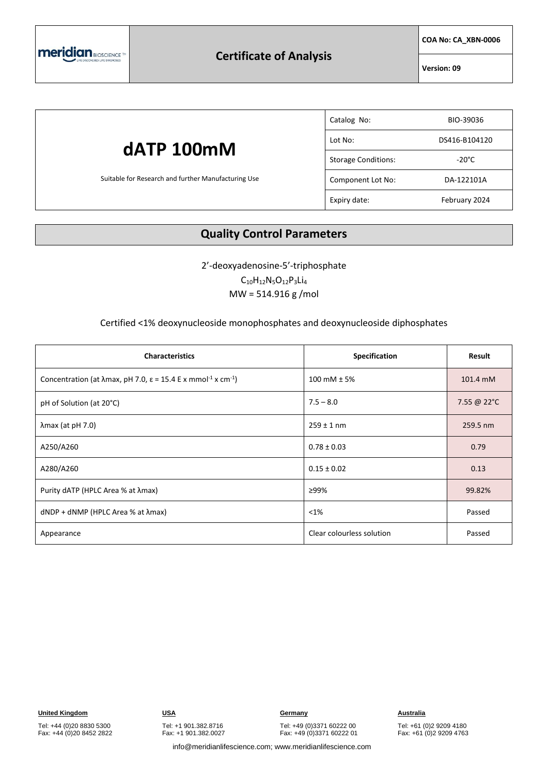

### **Certificate of Analysis**

**COA No: CA\_XBN-0006**

**Version: 09**

## **dATP 100mM** Suitable for Research and further Manufacturing Use Catalog No: BIO-39036 Lot No: DS416-B104120 Storage Conditions: The Storage Conditions: Component Lot No: DA-122101A Expiry date: February 2024

### **Quality Control Parameters**

2'-deoxyadenosine-5'-triphosphate

 $C_{10}H_{12}N_5O_{12}P_3Li_4$ MW = 514.916 g /mol

#### Certified <1% deoxynucleoside monophosphates and deoxynucleoside diphosphates

| <b>Characteristics</b>                                                                                    | Specification             | Result      |
|-----------------------------------------------------------------------------------------------------------|---------------------------|-------------|
| Concentration (at $\lambda$ max, pH 7.0, $\varepsilon$ = 15.4 E x mmol <sup>-1</sup> x cm <sup>-1</sup> ) | 100 mM $\pm$ 5%           | 101.4 mM    |
| pH of Solution (at 20°C)                                                                                  | $7.5 - 8.0$               | 7.55 @ 22°C |
| $\lambda$ max (at pH 7.0)                                                                                 | $259 \pm 1$ nm            | 259.5 nm    |
| A250/A260                                                                                                 | $0.78 \pm 0.03$           | 0.79        |
| A280/A260                                                                                                 | $0.15 \pm 0.02$           | 0.13        |
| Purity dATP (HPLC Area % at λmax)                                                                         | ≥99%                      | 99.82%      |
| $dNDP + dNMP$ (HPLC Area % at $\lambda$ max)                                                              | $< 1\%$                   | Passed      |
| Appearance                                                                                                | Clear colourless solution | Passed      |

Tel: +44 (0)20 8830 5300 Fax: +44 (0)20 8452 2822 Tel: +1 901.382.8716 Fax: +1 901.382.0027

Tel: +49 (0)3371 60222 00 Fax: +49 (0)3371 60222 01

Tel: +61 (0)2 9209 4180 Fax: +61 (0)2 9209 4763

info@meridianlifescience.com; www.meridianlifescience.com